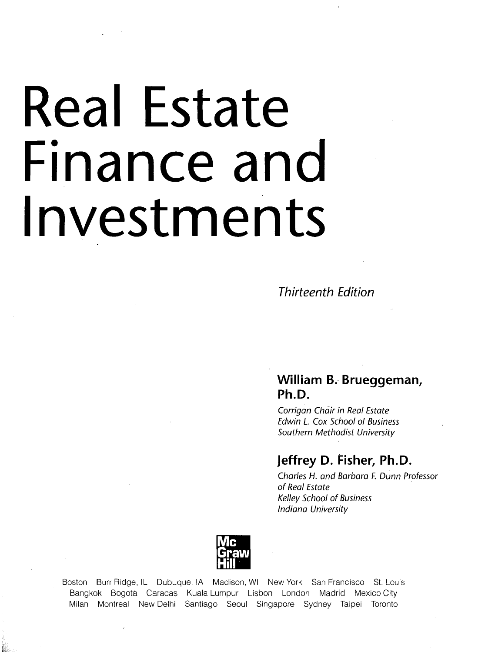# Real Estate Finance and Investments

**Thirteenth Edition**

# **William B. Brueggeman, Ph.D.**

Corrigan Chair in Real Estate Edwin L. Cox School of Business Southern Methodist University

# **Jeffrey D. Fisher, Ph.D.**

Charles H. and Barbara F. Dunn Professor of Real Estate Kelley School of Business Indiana University



Boston Burr Ridge, IL Dubuque, IA Madison, Wl New York San Francisco St. Louis Bangkok Bogota Caracas Kuala Lumpur Lisbon London Madrid Mexico City Milan Montreal New Delhi Santiago Seoul Singapore Sydney Taipei Toronto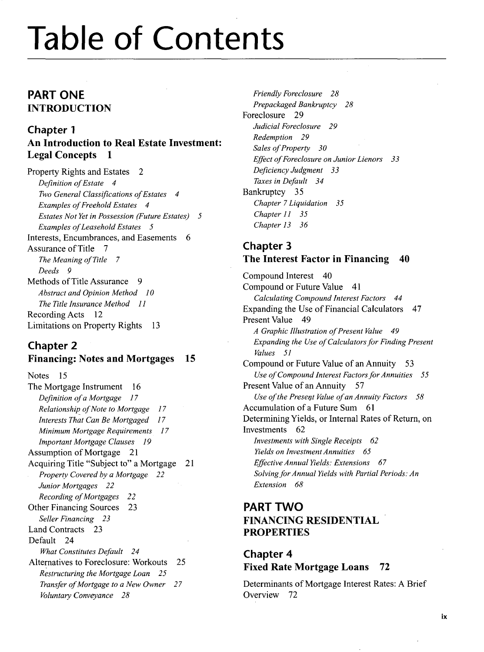# Table of Contents

# **PART ONE** INTRODUCTION

# Chapter 1 An Introduction to Real Estate Investment: Legal Concepts 1

Property Rights and Estates 2 *Definition of Estate 4 Two General Classifications of Estates 4 Examples of Freehold Estates 4 Estates Not Yet in Possession (Future Estates) 5 Examples of Leasehold Estates 5* Interests, Encumbrances, and Easements 6 Assurance of Title 7 *The Meaning of Title 7 Deeds 9* Methods of Title Assurance 9 *Abstract and Opinion Method 10 The Title Insurance Method 11* Recording Acts 12 Limitations on Property Rights 13

#### Chapter 2 **Financing: Notes and Mortgages 15**

Notes 15 The Mortgage Instrument 16 *Definition of a Mortgage 17 Relationship of Note to Mortgage 17 Interests That Can Be Mortgaged 17 Minimum Mortgage Requirements 17 Important Mortgage Clauses 19* Assumption of Mortgage 21 Acquiring Title "Subject to" a Mortgage 21 *Property Covered by a Mortgage 22 Junior Mortgages 22 Recording of Mortgages 22* Other Financing Sources 23 *Seller Financing 23* Land Contracts 23 Default 24 *What Constitutes Default 24* Alternatives to Foreclosure: Workouts 25 *Restructuring the Mortgage Loan 25 Transfer of Mortgage to a New Owner 27 Voluntary Conveyance 28*

*Friendly Foreclosure 28 Prepackaged Bankruptcy 28* Foreclosure 29 *Judicial Foreclosure 29 Redemption 29 Sales of Property 30 Effect of Foreclosure on Junior Lienors 33 Deficiency Judgment 33 Taxes in Default 34* Bankruptcy 35 *Chapter 7 Liquidation 35 Chapter 11 35 Chapter 13 36*

# Chapter 3 The Interest Factor in Financing 40

Compound Interest 40 Compound or Future Value 41 *Calculating Compound Interest Factors 44* Expanding the Use of Financial Calculators 47 Present Value 49 *A Graphic Illustration of Present Value 49 Expanding the Use of Calculators for Finding Present Values 51* Compound or Future Value of an Annuity 53 *Use of Compound Interest Factors for Annuities 55* Present Value of an Annuity 57 *Use of the Present Value of an Annuity Factors 58* Accumulation of a Future Sum 61 Determining Yields, or Internal Rates of Return, on Investments 62 *Investments with Single Receipts 62 Yields on Investment Annuities 65 Effective Annual Yields: Extensions 67 Solving for Annual Yields with Partial Periods: An Extension 68*

# **PART TWO** FINANCING RESIDENTIAL PROPERTIES

# Chapter 4 Fixed Rate Mortgage Loans 72

Determinants of Mortgage Interest Rates: A Brief Overview 72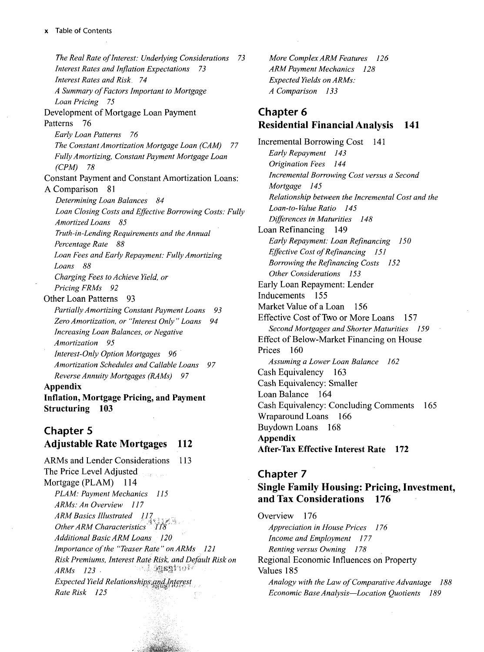*The Real Rate of Interest: Underlying Considerations 73 Interest Rates and Inflation Expectations 73 Interest Rates and Risk. 74 A Summary of Factors Important to Mortgage Loan Pricing 75* Development of Mortgage Loan Payment Patterns 76 *Early Loan Patterns 76 The Constant Amortization Mortgage Loan (CAM) 77 Fully Amortizing, Constant Payment Mortgage Loan (CPM) 78* Constant Payment and Constant Amortization Loans: A Comparison 81 *Determining Loan Balances 84 Loan Closing Costs and Effective Borrowing Costs: Fully Amortized Loans 85 Truth-in-Lending Requirements and the Annual Percentage Rate 88 Loan Fees and Early Repayment: Fully Amortizing Loans 88 Charging Fees to Achieve Yield, or Pricing FRMs 92* Other Loan Patterns 93 *Partially Amortizing Constant Payment Loans 93 Zero Amortization, or "Interest Only" Loans 94 Increasing Loan Balances, or Negative Amortization 95 Interest-Only Option Mortgages 96 Amortization Schedules and Callable Loans 97 Reverse Annuity Mortgages (RAMs) 97* **Appendix Inflation, Mortgage Pricing, and Payment Structuring 103**

#### Chapter 5 Adjustable Rate Mortgages 112

ARMs and Lender Considerations 113 The Price Level Adjusted Mortgage (PLAM) 114 *PLAM: Payment Mechanics 115 ARMs: An Overview 117 A RM Basics Illustrated 117 Other ARM Characteristics* <sup>2</sup> 118 *Additional Basic ARM Loans 120 Importance of the "Teaser Rate " on ARMs 121 Risk Premiums, Interest Rate Risk, and Default Risk on ARMs 123 •* lt -- i: . i::' '": '*Expected Yield Relationships,andjfiterest Rate Risk 125*

*More Complex ARM Features 126 ARM Payment Mechanics 128 Expected Yields on ARMs: A Comparison 133*

# Chapter 6 Residential Financial Analysis 141

Incremental Borrowing Cost 141 *Early Repayment 143 Origination Fees 144 Incremental Borrowing Cost versus a Second Mortgage 145 Relationship between the Incremental Cost and the Loan-to-Value Ratio 145 Differences in Maturities 148* Loan Refinancing 149 *Early Repayment: Loan Refinancing 150 Effective Cost of Refinancing 151 Borrowing the Refinancing Costs 152 Other Considerations 153* Early Loan Repayment: Lender Inducements 155 Market Value of a Loan 156 Effective Cost of Two or More Loans 157 *Second Mortgages and Shorter Maturities 159* Effect of Below-Market Financing on House Prices 160 *Assuming a Lower Loan Balance 162* Cash Equivalency 163 Cash Equivalency: Smaller Loan Balance 164 Cash Equivalency: Concluding Comments 165 Wraparound Loans 166 Buydown Loans 168 **Appendix After-Tax Effective Interest Rate 172**

#### Chapter 7 Single Family Housing: Pricing, Investment, and Tax Considerations 176

Overview **1**76 *Appreciation in House Prices 176 Income and Employment 177 Renting versus Owning 178* Regional Economic Influences on Property Values 185 *Analogy with the Law of Comparative Advantage 188 Economic Base Analysis*—*Location Quotients 189*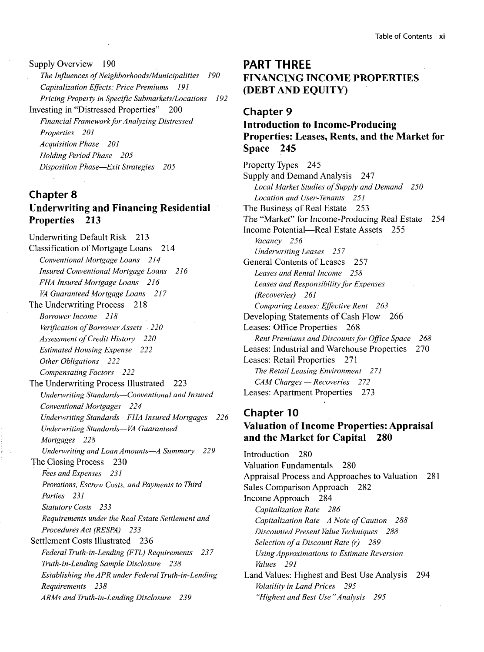Supply Overview 190 *The Influences of Neighborhoods/Municipalities 190 Capitalization Effects: Price Premiums 191 Pricing Property in Specific Submarkets/Locations 192* Investing in "Distressed Properties" 200 *Financial Framework for Analyzing Distressed Properties 201 Acquisition Phase 201 Holding Period Phase 205 Disposition Phase*—*Exit Strategies 205*

#### Chapter 8 Underwriting and Financing Residential Properties 213

Underwriting Default Risk 213 Classification of Mortgage Loans 214 *Conventional Mortgage Loans 214 Insured Conventional Mortgage Loans 216 FHA Insured Mortgage Loans 216 VA Guaranteed Mortgage Loans 217* The Underwriting Process 218 *Borrower Income 218 Verification of Borrower Assets 220 Assessment of Credit History 220 Estimated Housing Expense 222 Other Obligations 222 Compensating Factors 222* The Underwriting Process Illustrated 223 *Underwriting Standards*—*Conventional and Insured Conventional Mortgages 224 Underwriting Standards*—*FHA Insured Mortgages 226 Underwriting Standards*—*VA Guaranteed Mortgages 228 Underwriting and Loan Amounts*—*A Summary 229* The Closing Process 230 *Fees and Expenses 231 Prorations, Escrow Costs, and Payments to Third Parties 231 Statutory Costs 233 Requirements under the Real Estate Settlement and Procedures Act (RESPA) 233* Settlement Costs Illustrated 236 *Federal Truth-in-Lending (FTL) Requirements 237 Truth-in-Lending Sample Disclosure 238 Establishing the APR under Federal Truth-in-Lending Requirements 238 ARMs and Truth-in-Lending Disclosure 239*

# **PART THREE** FINANCING INCOME PROPERTIES (DEBT AND EQUITY)

#### Chapter 9

#### Introduction to Income-Producing Properties: Leases, Rents, and the Market for Space 245

Property Types 245 Supply and Demand Analysis 247 *Local Market Studies of Supply and Demand 250 Location and User-Tenants 251* The Business of Real Estate 253 The "Market" for Income-Producing Real Estate 254 Income Potential—Real Estate Assets 255 *Vacancy 256 Underwriting Leases 257* General Contents of Leases 257 *Leases and Rental Income 258 Leases and Responsibility for Expenses (Recoveries) 261 Comparing Leases: Effective Rent 263* Developing Statements of Cash Flow 266 Leases: Office Properties 268 *Rent Premiums and Discounts for Office Space 268* Leases: Industrial and Warehouse Properties 270 Leases: Retail Properties 271 *The Retail Leasing Environment 2 71 CAM Charges* — *Recoveries 2 72* Leases: Apartment Properties 273

# Chapter 10 Valuation of Income Properties: Appraisal and the Market for Capital 280

Introduction 280 Valuation Fundamentals 280 Appraisal Process and Approaches to Valuation 281 Sales Comparison Approach 282 Income Approach 284 *Capitalization Rate 286 Capitalization Rate*—*A Note of Caution 288 Discounted Present Value Techniques 288 Selection of a Discount Rate (r) 289 Using Approximations to Estimate Reversion Values 291* Land Values: Highest and Best Use Analysis 294 *Volatility in Land Prices 295 "Highest and Best Use "Analysis 295*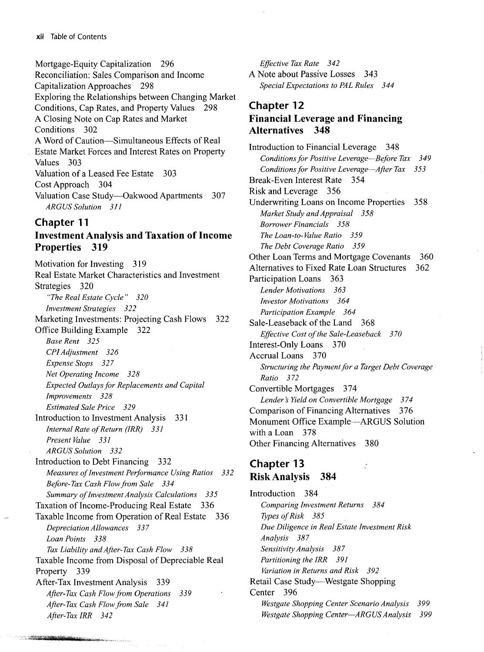Mortgage-Equity Capitalization 296 Reconciliation: Sales Comparison and Income Capitalization Approaches 298 Exploring the Relationships between Changing Market Conditions, Cap Rates, and Property Values 298 A Closing Note on Cap Rates and Market Conditions 302 A Word of Caution—Simultaneous Effects of Real Estate Market Forces and Interest Rates on Property Values 303 Valuation of a Leased Fee Estate 303 Cost Approach 304 Valuation Case Study—Oakwood Apartments 307 *ARGUS Solution 311*

#### Chapter 11

a sa construito de la companheira de la companheira de la companheira de la companheira de la companheira de l<br>La companheira de la companheira de la companheira de la companheira de la companheira de la companheira de la

#### Investment Analysis and Taxation of Income Properties 319

Motivation for Investing 319 Real Estate Market Characteristics and Investment Strategies 320 *"The Real Estate Cycle " 320 Investment Strategies 322* Marketing Investments: Projecting Cash Flows 322 Office Building Example 322 *Base Rent 325 CPI Adjustment 326 Expense Stops 327 Net Operating Income 328 Expected Outlays for Replacements and Capital Improvements 328 Estimated Sale Price 329* Introduction to Investment Analysis 331 *Internal Rate of Return (IRR) 331 Present Value 331 ARGUS Solution 332* Introduction to Debt Financing 332 *Measures of Investment Performance Using Ratios 332 Before-Tax Cash Flow from Sale 334 Summary of Investment Analysis Calculations 335* Taxation of Income-Producing Real Estate 336 Taxable Income from Operation of Real Estate 336 *Depreciation Allowances 337 Loan Points 338 Tax Liability and After-Tax Cash Flow 338* Taxable Income from Disposal of Depreciable Real Property 339 After-Tax Investment Analysis 339 *After-Tax Cash Flow from Operations 339 After-Tax Cash Flow from Sale 341 After-Tax IRR 342*

*Effective Tax Rate 342 A* Note about Passive Losses 343 *Special Expectations to PAL Rules 344*

#### Chapter 12 Financial Leverage and Financing Alternatives 348

Introduction to Financial Leverage 348 *Conditions for Positive Leverage*—*Before Tax 349 Conditions for Positive Leverage*—*After Tax 353* Break-Even Interest Rate 354 Risk and Leverage 356 Underwriting Loans on Income Properties 358 *Market Study and Appraisal 358 Borrower Financials 358 The Loan-to- Value Ratio 359 The Debt Coverage Ratio 359* Other Loan Terms and Mortgage Covenants 360 Alternatives to Fixed Rate Loan Structures 362 Participation Loans 363 *Lender Motivations 363 Investor Motivations 364 Participation Example 364* Sale-Leaseback of the Land 368 *Effective Cost of the Sale-Leaseback 370* Interest-Only Loans 370 Accrual Loans 370 *Structuring the Payment for a Target Debt Coverage Ratio 372* Convertible Mortgages 374 *Lender's Yield on Convertible Mortgage 3 74* Comparison of Financing Alternatives 376 Monument Office Example—ARGUS Solution with a Loan 378 Other Financing Alternatives 380

#### Chapter 13 Risk Analysis 384

Introduction 384 *Comparing Investment Returns 384 Types of Risk 385 Due Diligence in Real Estate Investment Risk Analysis 387 Sensitivity Analysis 387 Partitioning the IRR 391 Variation in Returns and Risk 392* Retail Case Study—Westgate Shopping Center 396 *Westgate Shopping Center Scenario Analysis 399 Westgate Shopping Center*—*ARGUS Analysis 399*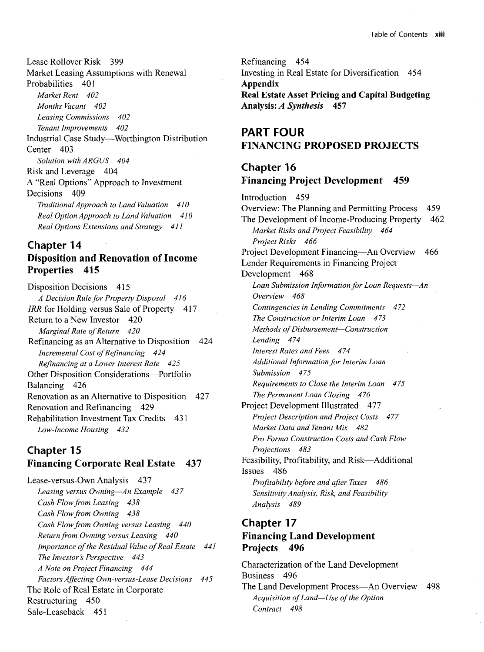Lease Rollover Risk 399 Market Leasing Assumptions with Renewal Probabilities 401 *Market Rent 402 Months Vacant 402 Leasing Commissions 402 Tenant Improvements 402* Industrial Case Study—Worthington Distribution Center 403 *Solution with ARGUS 404* Risk and Leverage 404 A "Real Options" Approach to Investment Decisions 409 *Traditional Approach to Land Valuation 410 Real Option Approach to Land Valuation 410 Real Options Extensions and Strategy 411*

#### Chapter 14

# **Disposition and Renovation of Income Properties 415**

Disposition Decisions 415 *A Decision Rule for Property Disposal 416 IRR* for Holding versus Sale of Property 417 Return to a New Investor 420 *Marginal Rate of Return 420* Refinancing as an Alternative to Disposition 424 *Incremental Cost of Refinancing 424 Refinancing at a Lower Interest Rate 425* Other Disposition Considerations—Portfolio Balancing 426 Renovation as an Alternative to Disposition 427 Renovation and Refinancing 429 Rehabilitation Investment Tax Credits 431 *Low-Income Housing 432*

#### Chapter 15 **Financing Corporate Real Estate** 437

Lease-versus-Own Analysis 437 *Leasing versus Owning*—*An Example 437 Cash Flow from Leasing 438 Cash Flow from Owning 438 Cash Flow from Owning versus Leasing 440 Return from Owning versus Leasing 440 Importance of the Residual Value of Real Estate 441 The Investor s Perspective 443 A Note on Project Financing 444 Factors Affecting Own-versus-Lease Decisions 445* The Role of Real Estate in Corporate Restructuring 450 Sale-Leaseback 451

Refinancing 454 Investing in Real Estate for Diversification 454 **Appendix Real Estate Asset Pricing and Capital Budgeting Analysis:** *A Synthesis* **457**

# **PART FOUR FINANCING PROPOSED PROJECTS**

# Chapter 16 **Financing Project Development 459**

Introduction 459 Overview: The Planning and Permitting Process 459 The Development of Income-Producing Property 462 *Market Risks and Project Feasibility 464 Project Risks 466* Project Development Financing—An Overview 466 Lender Requirements in Financing Project Development 468 *Loan Submission Information for Loan Requests*—*An Overview 468 Contingencies in Lending Commitments 472 The Construction or Interim Loan 473 Methods of Disbursement*—*Construction Lending 474 Interest Rates and Fees 474 Additional Information for Interim Loan Submission 475 Requirements to Close the Interim Loan 475 The Permanent Loan Closing 476* Project Development Illustrated 477 *Project Description and Project Costs 477 Market Data and Tenant Mix 482 Pro Forma Construction Costs and Cash Flow Projections 483* Feasibility, Profitability, and Risk—Additional Issues 486 *Profitability before and after Taxes 486 Sensitivity Analysis, Risk, and Feasibility Analysis 489*

# Chapter 17 **Financing Land Development Projects 496**

Characterization of the Land Development Business 496 The Land Development Process—An Overview 498 *Acquisition of Land*—*Use of the Option Contract 498*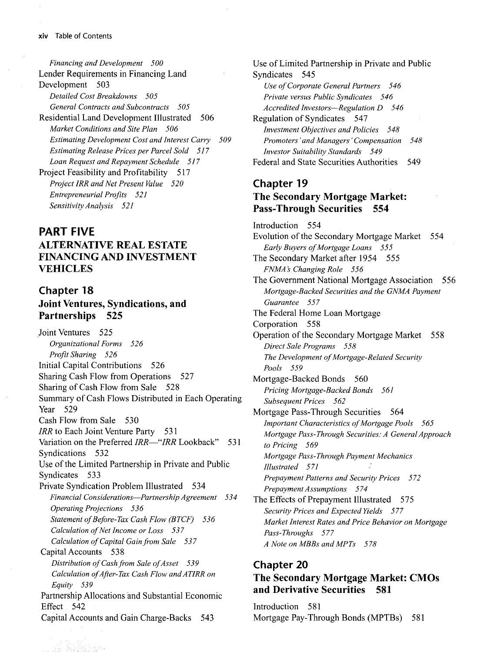*Financing and Development 500* Lender Requirements in Financing Land Development 503 *Detailed Cost Breakdowns 505 General Contracts and Subcontracts 505* Residential Land Development Illustrated 506 *Market Conditions and Site Plan 506 Estimating Development Cost and Interest Carry 509 Estimating Release Prices per Parcel Sold 517 Loan Request and Repayment Schedule 517* Project Feasibility and Profitability 517 *Project IRR and Net Present Value 520 Entrepreneurial Profits 521 Sensitivity Analysis 521*

#### **PART FIVE**

# ALTERNATIVE REAL ESTATE FINANCING AND INVESTMENT VEHICLES

#### Chapter 18 Joint Ventures, Syndications, and Partnerships 525

Joint Ventures 525 *Organizational Forms 526 Profit Sharing 526* Initial Capital Contributions 526 Sharing Cash Flow from Operations 527 Sharing of Cash Flow from Sale 528 Summary of Cash Flows Distributed in Each Operating Year 529 Cash Flow from Sale 530 *IRR* to Each Joint Venture Party 531 Variation on the Preferred *IRR—"IRR* Lookback" 531 Syndications 532 Use of the Limited Partnership in Private and Public Syndicates 533 Private Syndication Problem Illustrated 534 *Financial Considerations*—*Partnership Agreement 534 Operating Projections 536 Statement ofBefore-Tax Cash Flow (BTCF) 536 Calculation of Net Income or Loss 537 Calculation of Capital Gain from Sale 537* Capital Accounts 538 *Distribution of Cash from Sale of Asset 539 Calculation of After-Tax Cash Flow andATIRR on Equity 539* Partnership Allocations and Substantial Economic Effect 542 Capital Accounts and Gain Charge-Backs 543

Use of Limited Partnership in Private and Public Syndicates 545 *Use of Corporate General Partners 546 Private versus Public Syndicates 546 Accredited Investors*—*Regulation D 546* Regulation of Syndicates 547 *Investment Objectives and Policies 548 Promoters' and Managers' Compensation 548 Investor Suitability Standards 549* Federal and State Securities Authorities 549 Chapter 19 The Secondary Mortgage Market: Pass-Through Securities 554

Introduction 554 Evolution of the Secondary Mortgage Market 554 *Early Buyers of Mortgage Loans 555* The Secondary Market after 1954 555 *FNMA s Changing Role 556* The Government National Mortgage Association 556 *Mortgage-Backed Securities and the GNMA Payment Guarantee 557* The Federal Home Loan Mortgage Corporation 558 Operation of the Secondary Mortgage Market 558 *Direct Sale Programs 558 The Development of Mortgage-Related Security Pools 559* Mortgage-Backed Bonds 560 *Pricing Mortgage-Backed Bonds 561 Subsequent Prices 562* Mortgage Pass-Through Securities 564 *Important Characteristics of Mortgage Pools 565 Mortgage Pass-Through Securities: A General Approach to Pricing 569 Mortgage Pass-Through Payment Mechanics Illustrated 571 Prepayment Patterns and Security Prices 5 72 Prepayment Assumptions 574* The Effects of Prepayment Illustrated 575 *Security Prices and Expected Yields 577 Market Interest Rates and Price Behavior on Mortgage Pass-Throughs 577 A Note on MBBs and MPTs 578*

#### Chapter 20 The Secondary Mortgage Market: CMOs and Derivative Securities 581

Introduction 581 Mortgage Pay-Through Bonds (MPTBs) 581